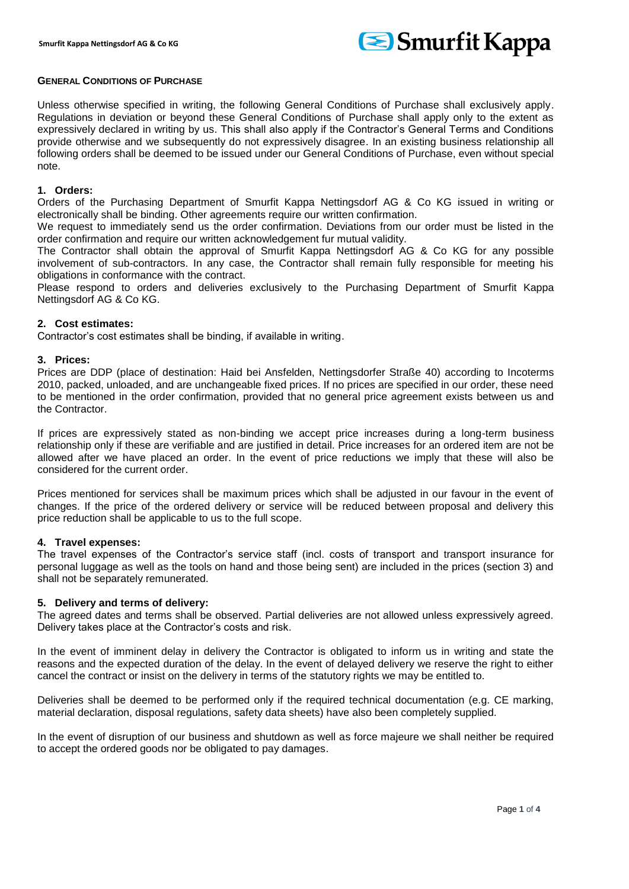

### **GENERAL CONDITIONS OF PURCHASE**

Unless otherwise specified in writing, the following General Conditions of Purchase shall exclusively apply. Regulations in deviation or beyond these General Conditions of Purchase shall apply only to the extent as expressively declared in writing by us. This shall also apply if the Contractor's General Terms and Conditions provide otherwise and we subsequently do not expressively disagree. In an existing business relationship all following orders shall be deemed to be issued under our General Conditions of Purchase, even without special note.

#### **1. Orders:**

Orders of the Purchasing Department of Smurfit Kappa Nettingsdorf AG & Co KG issued in writing or electronically shall be binding. Other agreements require our written confirmation.

We request to immediately send us the order confirmation. Deviations from our order must be listed in the order confirmation and require our written acknowledgement fur mutual validity.

The Contractor shall obtain the approval of Smurfit Kappa Nettingsdorf AG & Co KG for any possible involvement of sub-contractors. In any case, the Contractor shall remain fully responsible for meeting his obligations in conformance with the contract.

Please respond to orders and deliveries exclusively to the Purchasing Department of Smurfit Kappa Nettingsdorf AG & Co KG.

## **2. Cost estimates:**

Contractor's cost estimates shall be binding, if available in writing.

### **3. Prices:**

Prices are DDP (place of destination: Haid bei Ansfelden, Nettingsdorfer Straße 40) according to Incoterms 2010, packed, unloaded, and are unchangeable fixed prices. If no prices are specified in our order, these need to be mentioned in the order confirmation, provided that no general price agreement exists between us and the Contractor.

If prices are expressively stated as non-binding we accept price increases during a long-term business relationship only if these are verifiable and are justified in detail. Price increases for an ordered item are not be allowed after we have placed an order. In the event of price reductions we imply that these will also be considered for the current order.

Prices mentioned for services shall be maximum prices which shall be adjusted in our favour in the event of changes. If the price of the ordered delivery or service will be reduced between proposal and delivery this price reduction shall be applicable to us to the full scope.

## **4. Travel expenses:**

The travel expenses of the Contractor's service staff (incl. costs of transport and transport insurance for personal luggage as well as the tools on hand and those being sent) are included in the prices (section 3) and shall not be separately remunerated.

## **5. Delivery and terms of delivery:**

The agreed dates and terms shall be observed. Partial deliveries are not allowed unless expressively agreed. Delivery takes place at the Contractor's costs and risk.

In the event of imminent delay in delivery the Contractor is obligated to inform us in writing and state the reasons and the expected duration of the delay. In the event of delayed delivery we reserve the right to either cancel the contract or insist on the delivery in terms of the statutory rights we may be entitled to.

Deliveries shall be deemed to be performed only if the required technical documentation (e.g. CE marking, material declaration, disposal regulations, safety data sheets) have also been completely supplied.

In the event of disruption of our business and shutdown as well as force majeure we shall neither be required to accept the ordered goods nor be obligated to pay damages.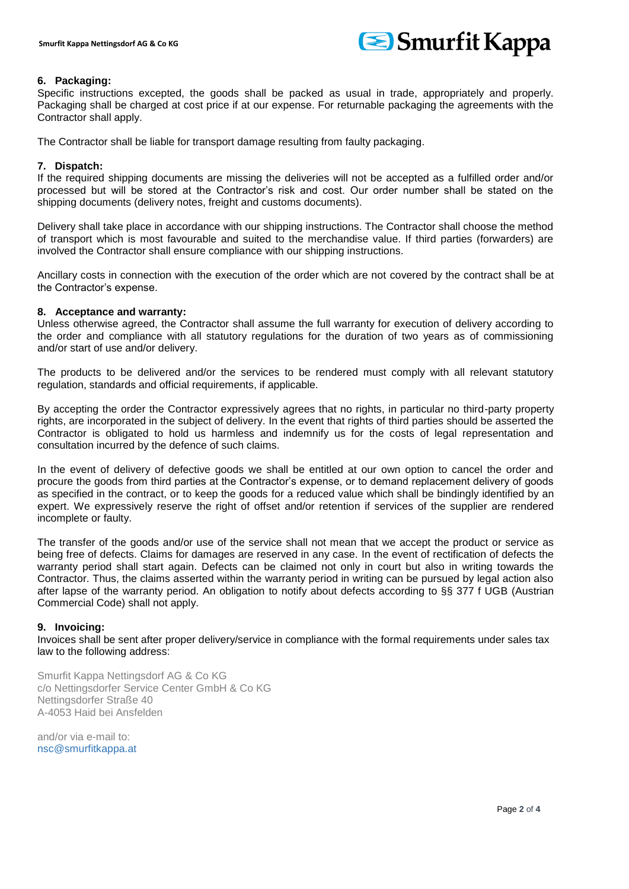

# **6. Packaging:**

Specific instructions excepted, the goods shall be packed as usual in trade, appropriately and properly. Packaging shall be charged at cost price if at our expense. For returnable packaging the agreements with the Contractor shall apply.

The Contractor shall be liable for transport damage resulting from faulty packaging.

# **7. Dispatch:**

If the required shipping documents are missing the deliveries will not be accepted as a fulfilled order and/or processed but will be stored at the Contractor's risk and cost. Our order number shall be stated on the shipping documents (delivery notes, freight and customs documents).

Delivery shall take place in accordance with our shipping instructions. The Contractor shall choose the method of transport which is most favourable and suited to the merchandise value. If third parties (forwarders) are involved the Contractor shall ensure compliance with our shipping instructions.

Ancillary costs in connection with the execution of the order which are not covered by the contract shall be at the Contractor's expense.

# **8. Acceptance and warranty:**

Unless otherwise agreed, the Contractor shall assume the full warranty for execution of delivery according to the order and compliance with all statutory regulations for the duration of two years as of commissioning and/or start of use and/or delivery.

The products to be delivered and/or the services to be rendered must comply with all relevant statutory regulation, standards and official requirements, if applicable.

By accepting the order the Contractor expressively agrees that no rights, in particular no third-party property rights, are incorporated in the subject of delivery. In the event that rights of third parties should be asserted the Contractor is obligated to hold us harmless and indemnify us for the costs of legal representation and consultation incurred by the defence of such claims.

In the event of delivery of defective goods we shall be entitled at our own option to cancel the order and procure the goods from third parties at the Contractor's expense, or to demand replacement delivery of goods as specified in the contract, or to keep the goods for a reduced value which shall be bindingly identified by an expert. We expressively reserve the right of offset and/or retention if services of the supplier are rendered incomplete or faulty.

The transfer of the goods and/or use of the service shall not mean that we accept the product or service as being free of defects. Claims for damages are reserved in any case. In the event of rectification of defects the warranty period shall start again. Defects can be claimed not only in court but also in writing towards the Contractor. Thus, the claims asserted within the warranty period in writing can be pursued by legal action also after lapse of the warranty period. An obligation to notify about defects according to §§ 377 f UGB (Austrian Commercial Code) shall not apply.

## **9. Invoicing:**

Invoices shall be sent after proper delivery/service in compliance with the formal requirements under sales tax law to the following address:

Smurfit Kappa Nettingsdorf AG & Co KG c/o Nettingsdorfer Service Center GmbH & Co KG Nettingsdorfer Straße 40 A-4053 Haid bei Ansfelden

and/or via e-mail to: nsc@smurfitkappa.at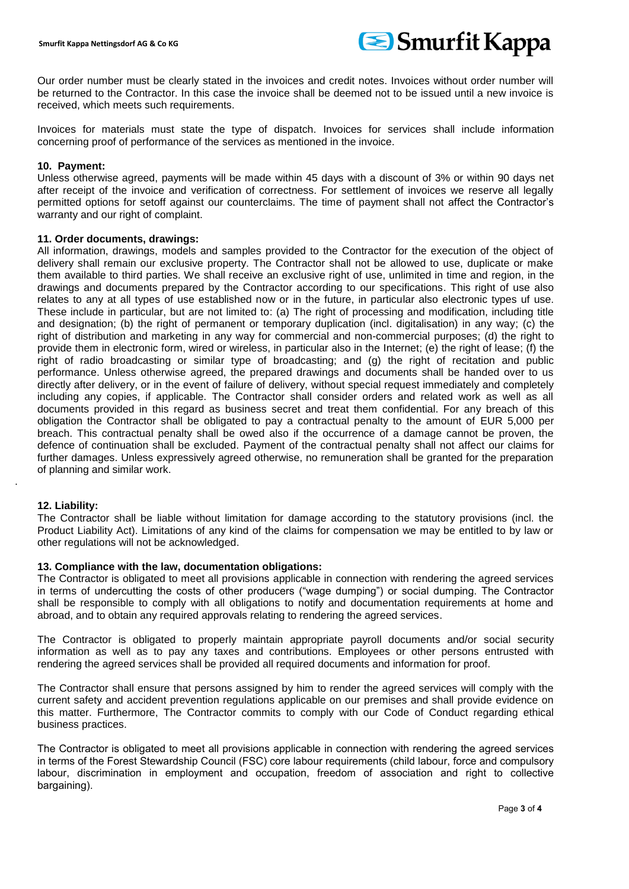

Our order number must be clearly stated in the invoices and credit notes. Invoices without order number will be returned to the Contractor. In this case the invoice shall be deemed not to be issued until a new invoice is received, which meets such requirements.

Invoices for materials must state the type of dispatch. Invoices for services shall include information concerning proof of performance of the services as mentioned in the invoice.

### **10. Payment:**

Unless otherwise agreed, payments will be made within 45 days with a discount of 3% or within 90 days net after receipt of the invoice and verification of correctness. For settlement of invoices we reserve all legally permitted options for setoff against our counterclaims. The time of payment shall not affect the Contractor's warranty and our right of complaint.

### **11. Order documents, drawings:**

All information, drawings, models and samples provided to the Contractor for the execution of the object of delivery shall remain our exclusive property. The Contractor shall not be allowed to use, duplicate or make them available to third parties. We shall receive an exclusive right of use, unlimited in time and region, in the drawings and documents prepared by the Contractor according to our specifications. This right of use also relates to any at all types of use established now or in the future, in particular also electronic types uf use. These include in particular, but are not limited to: (a) The right of processing and modification, including title and designation; (b) the right of permanent or temporary duplication (incl. digitalisation) in any way; (c) the right of distribution and marketing in any way for commercial and non-commercial purposes; (d) the right to provide them in electronic form, wired or wireless, in particular also in the Internet; (e) the right of lease; (f) the right of radio broadcasting or similar type of broadcasting; and (g) the right of recitation and public performance. Unless otherwise agreed, the prepared drawings and documents shall be handed over to us directly after delivery, or in the event of failure of delivery, without special request immediately and completely including any copies, if applicable. The Contractor shall consider orders and related work as well as all documents provided in this regard as business secret and treat them confidential. For any breach of this obligation the Contractor shall be obligated to pay a contractual penalty to the amount of EUR 5,000 per breach. This contractual penalty shall be owed also if the occurrence of a damage cannot be proven, the defence of continuation shall be excluded. Payment of the contractual penalty shall not affect our claims for further damages. Unless expressively agreed otherwise, no remuneration shall be granted for the preparation of planning and similar work.

## **12. Liability:**

.

The Contractor shall be liable without limitation for damage according to the statutory provisions (incl. the Product Liability Act). Limitations of any kind of the claims for compensation we may be entitled to by law or other regulations will not be acknowledged.

## **13. Compliance with the law, documentation obligations:**

The Contractor is obligated to meet all provisions applicable in connection with rendering the agreed services in terms of undercutting the costs of other producers ("wage dumping") or social dumping. The Contractor shall be responsible to comply with all obligations to notify and documentation requirements at home and abroad, and to obtain any required approvals relating to rendering the agreed services.

The Contractor is obligated to properly maintain appropriate payroll documents and/or social security information as well as to pay any taxes and contributions. Employees or other persons entrusted with rendering the agreed services shall be provided all required documents and information for proof.

The Contractor shall ensure that persons assigned by him to render the agreed services will comply with the current safety and accident prevention regulations applicable on our premises and shall provide evidence on this matter. Furthermore, The Contractor commits to comply with our Code of Conduct regarding ethical business practices.

The Contractor is obligated to meet all provisions applicable in connection with rendering the agreed services in terms of the Forest Stewardship Council (FSC) core labour requirements (child labour, force and compulsory labour, discrimination in employment and occupation, freedom of association and right to collective bargaining).